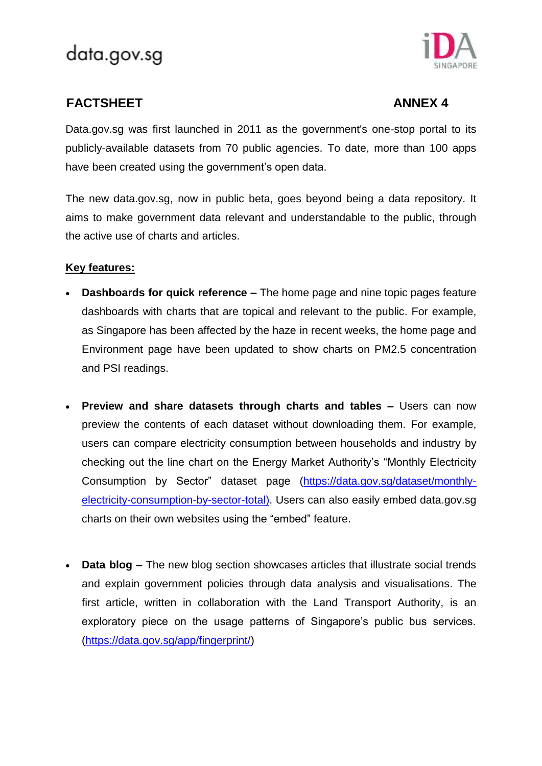

## **FACTSHEET** ANNEX 4

Data.gov.sg was first launched in 2011 as the government's one-stop portal to its publicly-available datasets from 70 public agencies. To date, more than 100 apps have been created using the government's open data.

The new data.gov.sg, now in public beta, goes beyond being a data repository. It aims to make government data relevant and understandable to the public, through the active use of charts and articles.

## **Key features:**

- **Dashboards for quick reference –** The home page and nine topic pages feature dashboards with charts that are topical and relevant to the public. For example, as Singapore has been affected by the haze in recent weeks, the home page and Environment page have been updated to show charts on PM2.5 concentration and PSI readings.
- **Preview and share datasets through charts and tables –** Users can now preview the contents of each dataset without downloading them. For example, users can compare electricity consumption between households and industry by checking out the line chart on the Energy Market Authority's "Monthly Electricity Consumption by Sector" dataset page [\(https://data.gov.sg/dataset/monthly](https://data.gov.sg/dataset/monthly-electricity-consumption-by-sector-total))[electricity-consumption-by-sector-total\).](https://data.gov.sg/dataset/monthly-electricity-consumption-by-sector-total)) Users can also easily embed data.gov.sg charts on their own websites using the "embed" feature.
- **Data blog –** The new blog section showcases articles that illustrate social trends and explain government policies through data analysis and visualisations. The first article, written in collaboration with the Land Transport Authority, is an exploratory piece on the usage patterns of Singapore's public bus services. [\(https://data.gov.sg/app/fingerprint/\)](https://data.gov.sg/app/fingerprint/)